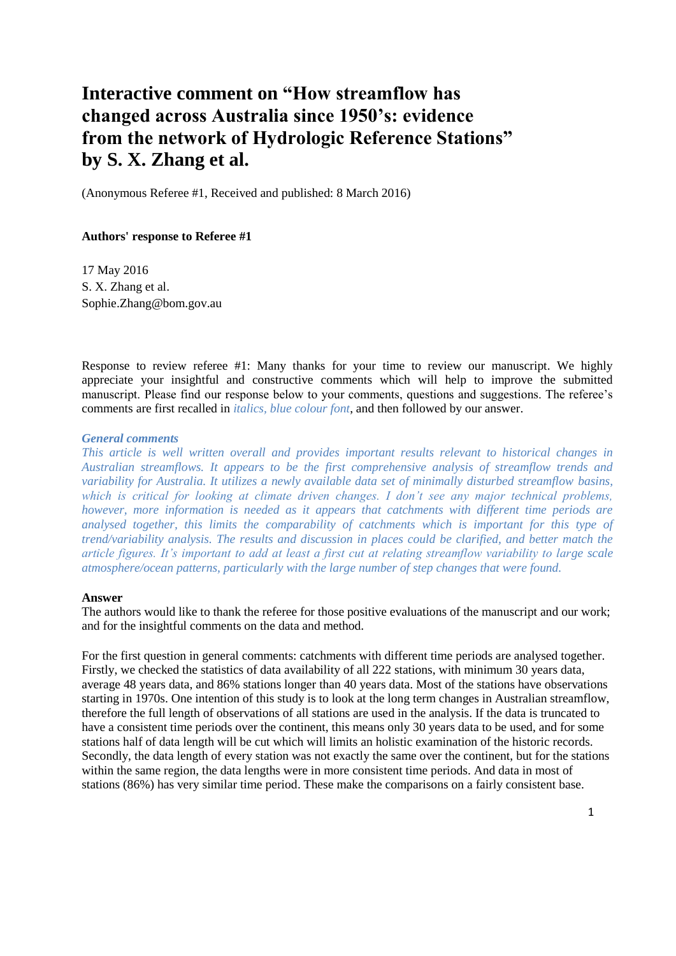# **Interactive comment on "How streamflow has changed across Australia since 1950's: evidence from the network of Hydrologic Reference Stations" by S. X. Zhang et al.**

(Anonymous Referee #1, Received and published: 8 March 2016)

# **Authors' response to Referee #1**

17 May 2016 S. X. Zhang et al. Sophie.Zhang@bom.gov.au

Response to review referee #1: Many thanks for your time to review our manuscript. We highly appreciate your insightful and constructive comments which will help to improve the submitted manuscript. Please find our response below to your comments, questions and suggestions. The referee's comments are first recalled in *italics, blue colour font*, and then followed by our answer.

### *General comments*

*This article is well written overall and provides important results relevant to historical changes in Australian streamflows. It appears to be the first comprehensive analysis of streamflow trends and variability for Australia. It utilizes a newly available data set of minimally disturbed streamflow basins, which is critical for looking at climate driven changes. I don't see any major technical problems, however, more information is needed as it appears that catchments with different time periods are analysed together, this limits the comparability of catchments which is important for this type of trend/variability analysis. The results and discussion in places could be clarified, and better match the article figures. It's important to add at least a first cut at relating streamflow variability to large scale atmosphere/ocean patterns, particularly with the large number of step changes that were found.*

### **Answer**

The authors would like to thank the referee for those positive evaluations of the manuscript and our work; and for the insightful comments on the data and method.

For the first question in general comments: catchments with different time periods are analysed together. Firstly, we checked the statistics of data availability of all 222 stations, with minimum 30 years data, average 48 years data, and 86% stations longer than 40 years data. Most of the stations have observations starting in 1970s. One intention of this study is to look at the long term changes in Australian streamflow, therefore the full length of observations of all stations are used in the analysis. If the data is truncated to have a consistent time periods over the continent, this means only 30 years data to be used, and for some stations half of data length will be cut which will limits an holistic examination of the historic records. Secondly, the data length of every station was not exactly the same over the continent, but for the stations within the same region, the data lengths were in more consistent time periods. And data in most of stations (86%) has very similar time period. These make the comparisons on a fairly consistent base.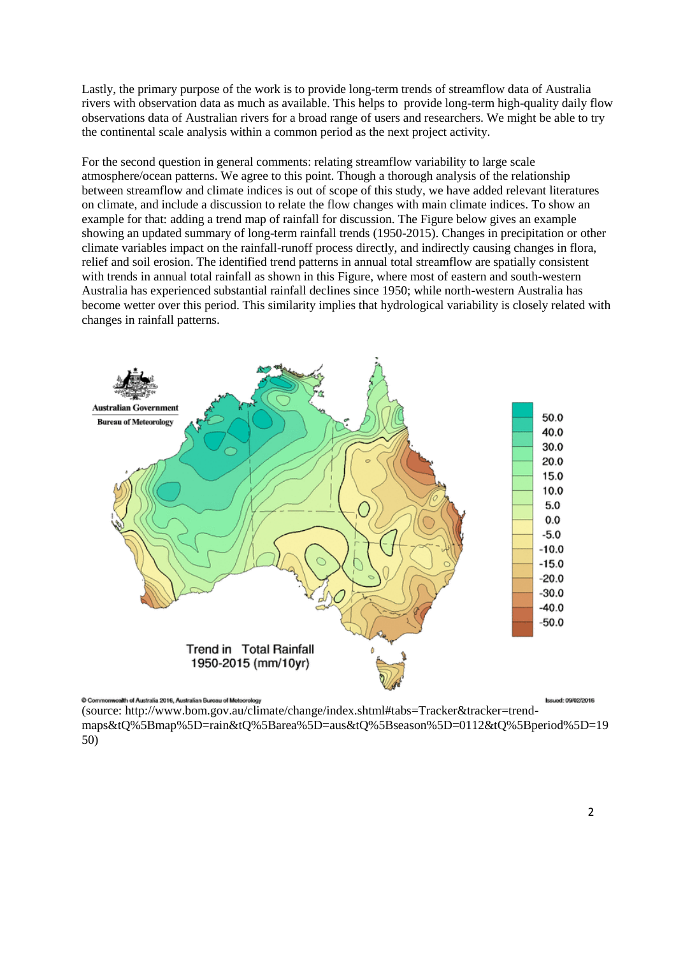Lastly, the primary purpose of the work is to provide long-term trends of streamflow data of Australia rivers with observation data as much as available. This helps to provide long-term high-quality daily flow observations data of Australian rivers for a broad range of users and researchers. We might be able to try the continental scale analysis within a common period as the next project activity.

For the second question in general comments: relating streamflow variability to large scale atmosphere/ocean patterns. We agree to this point. Though a thorough analysis of the relationship between streamflow and climate indices is out of scope of this study, we have added relevant literatures on climate, and include a discussion to relate the flow changes with main climate indices. To show an example for that: adding a trend map of rainfall for discussion. The Figure below gives an example showing an updated summary of long-term rainfall trends (1950-2015). Changes in precipitation or other climate variables impact on the rainfall-runoff process directly, and indirectly causing changes in flora, relief and soil erosion. The identified trend patterns in annual total streamflow are spatially consistent with trends in annual total rainfall as shown in this Figure, where most of eastern and south-western Australia has experienced substantial rainfall declines since 1950; while north-western Australia has become wetter over this period. This similarity implies that hydrological variability is closely related with changes in rainfall patterns.



Commonwealth of Australia 2016, Australian Bureau of Meteorology

**Issued: 09/02/2016** 

(source: http://www.bom.gov.au/climate/change/index.shtml#tabs=Tracker&tracker=trendmaps&tQ%5Bmap%5D=rain&tQ%5Barea%5D=aus&tQ%5Bseason%5D=0112&tQ%5Bperiod%5D=19 50)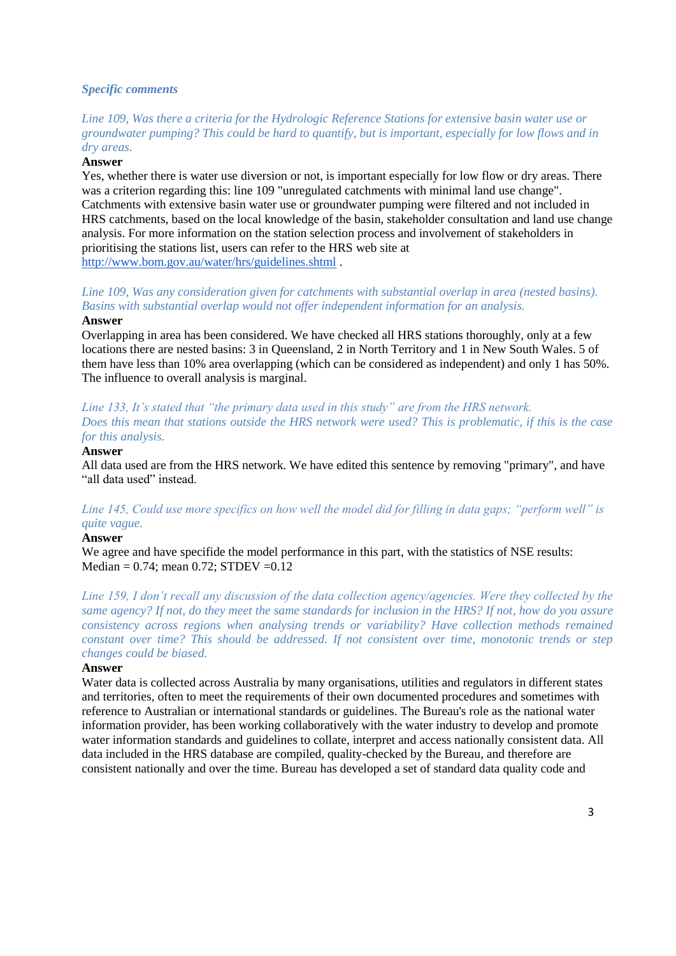### *Specific comments*

*Line 109, Was there a criteria for the Hydrologic Reference Stations for extensive basin water use or groundwater pumping? This could be hard to quantify, but is important, especially for low flows and in dry areas.*

### **Answer**

Yes, whether there is water use diversion or not, is important especially for low flow or dry areas. There was a criterion regarding this: line 109 "unregulated catchments with minimal land use change". Catchments with extensive basin water use or groundwater pumping were filtered and not included in HRS catchments, based on the local knowledge of the basin, stakeholder consultation and land use change analysis. For more information on the station selection process and involvement of stakeholders in prioritising the stations list, users can refer to the HRS web site at <http://www.bom.gov.au/water/hrs/guidelines.shtml> .

# *Line 109, Was any consideration given for catchments with substantial overlap in area (nested basins). Basins with substantial overlap would not offer independent information for an analysis.*

### **Answer**

Overlapping in area has been considered. We have checked all HRS stations thoroughly, only at a few locations there are nested basins: 3 in Queensland, 2 in North Territory and 1 in New South Wales. 5 of them have less than 10% area overlapping (which can be considered as independent) and only 1 has 50%. The influence to overall analysis is marginal.

# *Line 133, It's stated that "the primary data used in this study" are from the HRS network. Does this mean that stations outside the HRS network were used? This is problematic, if this is the case for this analysis.*

### **Answer**

All data used are from the HRS network. We have edited this sentence by removing "primary", and have "all data used" instead.

# *Line 145, Could use more specifics on how well the model did for filling in data gaps; "perform well" is quite vague.*

#### **Answer**

We agree and have specifide the model performance in this part, with the statistics of NSE results: Median =  $0.74$ ; mean  $0.72$ ; STDEV =  $0.12$ 

*Line 159, I don't recall any discussion of the data collection agency/agencies. Were they collected by the same agency? If not, do they meet the same standards for inclusion in the HRS? If not, how do you assure consistency across regions when analysing trends or variability? Have collection methods remained constant over time? This should be addressed. If not consistent over time, monotonic trends or step changes could be biased.*

# **Answer**

Water data is collected across Australia by many organisations, utilities and regulators in different states and territories, often to meet the requirements of their own documented procedures and sometimes with reference to Australian or international standards or guidelines. The Bureau's role as the national water information provider, has been working collaboratively with the water industry to develop and promote water information standards and guidelines to collate, interpret and access nationally consistent data. All data included in the HRS database are compiled, quality-checked by the Bureau, and therefore are consistent nationally and over the time. Bureau has developed a set of standard data quality code and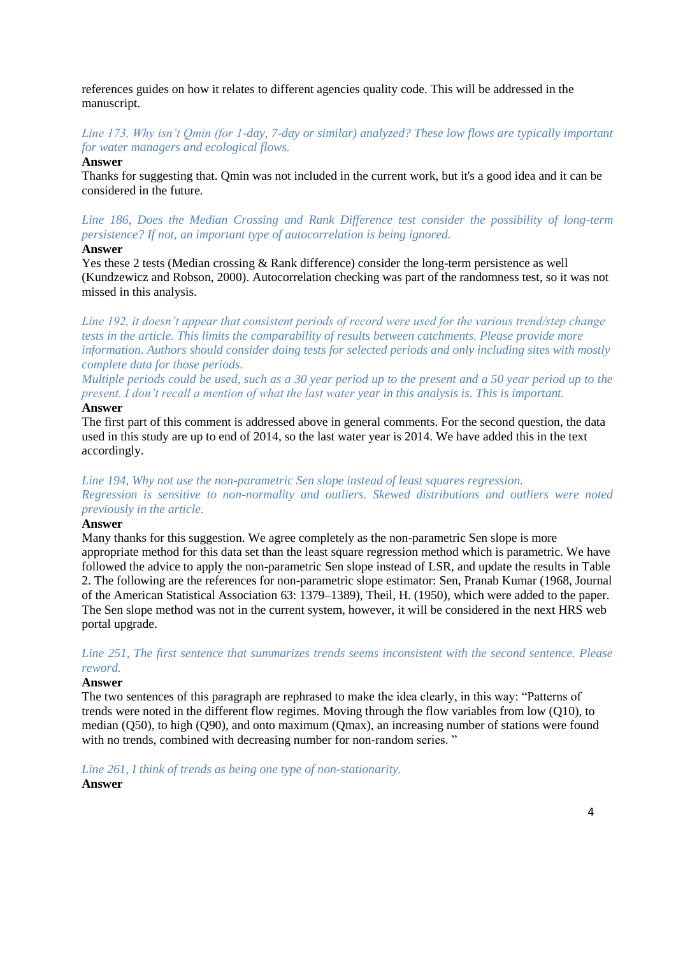references guides on how it relates to different agencies quality code. This will be addressed in the manuscript.

*Line 173, Why isn't Qmin (for 1-day, 7-day or similar) analyzed? These low flows are typically important for water managers and ecological flows.*

### **Answer**

Thanks for suggesting that. Qmin was not included in the current work, but it's a good idea and it can be considered in the future.

# *Line 186, Does the Median Crossing and Rank Difference test consider the possibility of long-term persistence? If not, an important type of autocorrelation is being ignored.*

### **Answer**

Yes these 2 tests (Median crossing & Rank difference) consider the long-term persistence as well (Kundzewicz and Robson, 2000). Autocorrelation checking was part of the randomness test, so it was not missed in this analysis.

*Line 192, it doesn't appear that consistent periods of record were used for the various trend/step change tests in the article. This limits the comparability of results between catchments. Please provide more information. Authors should consider doing tests for selected periods and only including sites with mostly complete data for those periods.*

*Multiple periods could be used, such as a 30 year period up to the present and a 50 year period up to the present. I don't recall a mention of what the last water year in this analysis is. This is important.*

### **Answer**

The first part of this comment is addressed above in general comments. For the second question, the data used in this study are up to end of 2014, so the last water year is 2014. We have added this in the text accordingly.

# *Line 194, Why not use the non-parametric Sen slope instead of least squares regression. Regression is sensitive to non-normality and outliers. Skewed distributions and outliers were noted previously in the article.*

### **Answer**

Many thanks for this suggestion. We agree completely as the non-parametric Sen slope is more appropriate method for this data set than the least square regression method which is parametric. We have followed the advice to apply the non-parametric Sen slope instead of LSR, and update the results in Table 2. The following are the references for non-parametric slope estimator: [Sen, Pranab Kumar](https://en.wikipedia.org/wiki/Pranab_K._Sen) (1968[, Journal](https://en.wikipedia.org/wiki/Journal_of_the_American_Statistical_Association)  [of the American Statistical Association](https://en.wikipedia.org/wiki/Journal_of_the_American_Statistical_Association) 63: 1379–1389), [Theil, H.](https://en.wikipedia.org/wiki/Henri_Theil) (1950), which were added to the paper. The Sen slope method was not in the current system, however, it will be considered in the next HRS web portal upgrade.

*Line 251, The first sentence that summarizes trends seems inconsistent with the second sentence. Please reword.*

### **Answer**

The two sentences of this paragraph are rephrased to make the idea clearly, in this way: "Patterns of trends were noted in the different flow regimes. Moving through the flow variables from low (Q10), to median (Q50), to high (Q90), and onto maximum (Qmax), an increasing number of stations were found with no trends, combined with decreasing number for non-random series."

*Line 261, I think of trends as being one type of non-stationarity.*

# **Answer**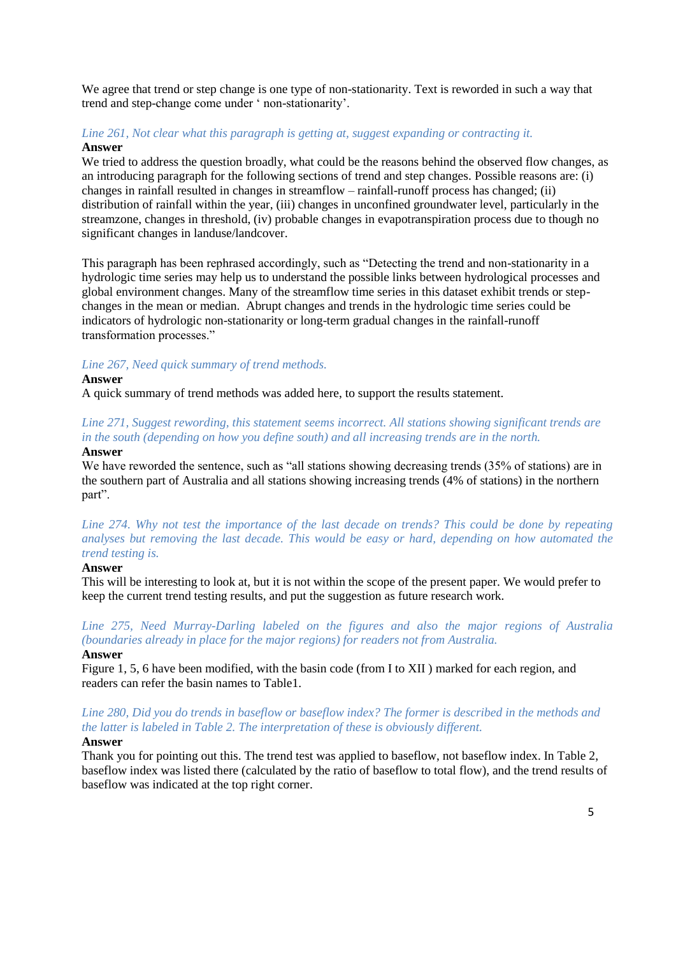We agree that trend or step change is one type of non-stationarity. Text is reworded in such a way that trend and step-change come under ' non-stationarity'.

# *Line 261, Not clear what this paragraph is getting at, suggest expanding or contracting it.* **Answer**

We tried to address the question broadly, what could be the reasons behind the observed flow changes, as an introducing paragraph for the following sections of trend and step changes. Possible reasons are: (i) changes in rainfall resulted in changes in streamflow – rainfall-runoff process has changed; (ii) distribution of rainfall within the year, (iii) changes in unconfined groundwater level, particularly in the streamzone, changes in threshold, (iv) probable changes in evapotranspiration process due to though no significant changes in landuse/landcover.

This paragraph has been rephrased accordingly, such as "Detecting the trend and non-stationarity in a hydrologic time series may help us to understand the possible links between hydrological processes and global environment changes. Many of the streamflow time series in this dataset exhibit trends or stepchanges in the mean or median. Abrupt changes and trends in the hydrologic time series could be indicators of hydrologic non-stationarity or long-term gradual changes in the rainfall-runoff transformation processes."

# *Line 267, Need quick summary of trend methods.*

### **Answer**

A quick summary of trend methods was added here, to support the results statement.

# *Line 271, Suggest rewording, this statement seems incorrect. All stations showing significant trends are in the south (depending on how you define south) and all increasing trends are in the north.*

### **Answer**

We have reworded the sentence, such as "all stations showing decreasing trends (35% of stations) are in the southern part of Australia and all stations showing increasing trends (4% of stations) in the northern part".

*Line 274. Why not test the importance of the last decade on trends? This could be done by repeating analyses but removing the last decade. This would be easy or hard, depending on how automated the trend testing is.*

### **Answer**

This will be interesting to look at, but it is not within the scope of the present paper. We would prefer to keep the current trend testing results, and put the suggestion as future research work.

*Line 275, Need Murray-Darling labeled on the figures and also the major regions of Australia (boundaries already in place for the major regions) for readers not from Australia.* **Answer**

Figure 1, 5, 6 have been modified, with the basin code (from I to XII ) marked for each region, and readers can refer the basin names to Table1.

*Line 280, Did you do trends in baseflow or baseflow index? The former is described in the methods and the latter is labeled in Table 2. The interpretation of these is obviously different.*

# **Answer**

Thank you for pointing out this. The trend test was applied to baseflow, not baseflow index. In Table 2, baseflow index was listed there (calculated by the ratio of baseflow to total flow), and the trend results of baseflow was indicated at the top right corner.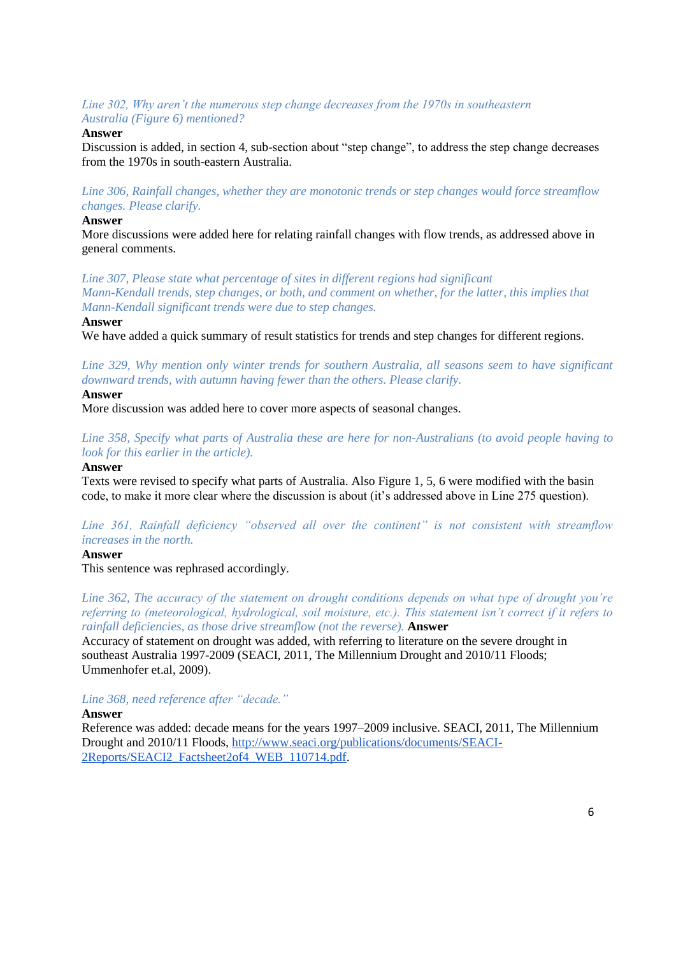*Line 302, Why aren't the numerous step change decreases from the 1970s in southeastern Australia (Figure 6) mentioned?*

### **Answer**

Discussion is added, in section 4, sub-section about "step change", to address the step change decreases from the 1970s in south-eastern Australia.

*Line 306, Rainfall changes, whether they are monotonic trends or step changes would force streamflow changes. Please clarify.*

### **Answer**

More discussions were added here for relating rainfall changes with flow trends, as addressed above in general comments.

*Line 307, Please state what percentage of sites in different regions had significant Mann-Kendall trends, step changes, or both, and comment on whether, for the latter, this implies that Mann-Kendall significant trends were due to step changes.*

### **Answer**

We have added a quick summary of result statistics for trends and step changes for different regions.

*Line 329, Why mention only winter trends for southern Australia, all seasons seem to have significant downward trends, with autumn having fewer than the others. Please clarify.*

# **Answer**

More discussion was added here to cover more aspects of seasonal changes.

*Line 358, Specify what parts of Australia these are here for non-Australians (to avoid people having to look for this earlier in the article).*

# **Answer**

Texts were revised to specify what parts of Australia. Also Figure 1, 5, 6 were modified with the basin code, to make it more clear where the discussion is about (it's addressed above in Line 275 question).

*Line 361, Rainfall deficiency "observed all over the continent" is not consistent with streamflow increases in the north.*

### **Answer**

This sentence was rephrased accordingly.

*Line 362, The accuracy of the statement on drought conditions depends on what type of drought you're referring to (meteorological, hydrological, soil moisture, etc.). This statement isn't correct if it refers to rainfall deficiencies, as those drive streamflow (not the reverse).* **Answer**

Accuracy of statement on drought was added, with referring to literature on the severe drought in southeast Australia 1997-2009 (SEACI, 2011, The Millennium Drought and 2010/11 Floods; Ummenhofer et.al, 2009).

### *Line 368, need reference after "decade."*

#### **Answer**

Reference was added: decade means for the years 1997–2009 inclusive. SEACI, 2011, The Millennium Drought and 2010/11 Floods, [http://www.seaci.org/publications/documents/SEACI-](http://www.seaci.org/publications/documents/SEACI-2Reports/SEACI2_Factsheet2of4_WEB_110714.pdf)[2Reports/SEACI2\\_Factsheet2of4\\_WEB\\_110714.pdf.](http://www.seaci.org/publications/documents/SEACI-2Reports/SEACI2_Factsheet2of4_WEB_110714.pdf)